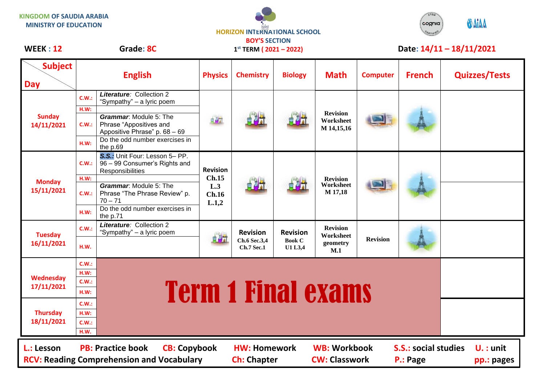**KINGDOM OF SAUDIA ARABIA MINISTRY OF EDUCATION**

## **HORIZON INTERNATIONAL SCHOOL BOY'S SECTION**

**1 st TERM ( 2021 – 2022)**



## WEEK : 12 Grade: 8C 1<sup>st</sup> TERM (2021 – 2022) Date: 14/11 – 18/11/2021

| <b>Subject</b><br><b>Day</b>                                                                                                               |               | <b>English</b>                                                                            | <b>Physics</b>                                    | <b>Chemistry</b>                                     | <b>Biology</b>                              | <b>Math</b>                                     | <b>Computer</b> | <b>French</b> | <b>Quizzes/Tests</b> |  |
|--------------------------------------------------------------------------------------------------------------------------------------------|---------------|-------------------------------------------------------------------------------------------|---------------------------------------------------|------------------------------------------------------|---------------------------------------------|-------------------------------------------------|-----------------|---------------|----------------------|--|
| <b>Sunday</b><br>14/11/2021                                                                                                                | C.W.:<br>H.W: | <b>Literature: Collection 2</b><br>"Sympathy" - a lyric poem                              | 自身計                                               | 自母計                                                  | 白风。                                         | <b>Revision</b><br>Worksheet<br>M 14,15,16      |                 |               |                      |  |
|                                                                                                                                            | C.W.:         | <b>Grammar:</b> Module 5: The<br>Phrase "Appositives and<br>Appositive Phrase" p. 68 - 69 |                                                   |                                                      |                                             |                                                 |                 |               |                      |  |
|                                                                                                                                            | H.W:          | Do the odd number exercises in<br>the p.69                                                |                                                   |                                                      |                                             |                                                 |                 |               |                      |  |
| <b>Monday</b><br>15/11/2021                                                                                                                | C.W.:         | S.S.: Unit Four: Lesson 5- PP.<br>96 - 99 Consumer's Rights and<br>Responsibilities       | <b>Revision</b><br>Ch.15<br>L.3<br>Ch.16<br>L.1,2 |                                                      |                                             | <b>Revision</b><br><b>Worksheet</b><br>M 17,18  |                 |               |                      |  |
|                                                                                                                                            | H.W:          | <b>Grammar:</b> Module 5: The                                                             |                                                   |                                                      |                                             |                                                 |                 |               |                      |  |
|                                                                                                                                            | C.W.:         | Phrase "The Phrase Review" p.<br>$70 - 71$                                                |                                                   |                                                      |                                             |                                                 |                 |               |                      |  |
|                                                                                                                                            | H.W:          | Do the odd number exercises in<br>the p.71                                                |                                                   |                                                      |                                             |                                                 |                 |               |                      |  |
| <b>Tuesday</b><br>16/11/2021                                                                                                               | C.W.:         | Literature: Collection 2<br>"Sympathy" - a lyric poem                                     | 自制                                                | <b>Revision</b><br>Ch.6 Sec.3,4<br><b>Ch.7 Sec.1</b> | <b>Revision</b><br><b>Book C</b><br>U1 L3,4 | <b>Revision</b><br>Worksheet<br>geometry<br>M.1 | <b>Revision</b> |               |                      |  |
|                                                                                                                                            | H.W.          |                                                                                           |                                                   |                                                      |                                             |                                                 |                 |               |                      |  |
| <b>Wednesday</b><br>17/11/2021                                                                                                             | C.W.:         |                                                                                           |                                                   |                                                      |                                             |                                                 |                 |               |                      |  |
|                                                                                                                                            | H.W:<br>C.W.: | <b>Term 1 Final exams</b>                                                                 |                                                   |                                                      |                                             |                                                 |                 |               |                      |  |
|                                                                                                                                            | H.W:          |                                                                                           |                                                   |                                                      |                                             |                                                 |                 |               |                      |  |
| <b>Thursday</b><br>18/11/2021                                                                                                              | C.W.:         |                                                                                           |                                                   |                                                      |                                             |                                                 |                 |               |                      |  |
|                                                                                                                                            | H.W:          |                                                                                           |                                                   |                                                      |                                             |                                                 |                 |               |                      |  |
|                                                                                                                                            | C.W.:         |                                                                                           |                                                   |                                                      |                                             |                                                 |                 |               |                      |  |
|                                                                                                                                            | H.W.          |                                                                                           |                                                   |                                                      |                                             |                                                 |                 |               |                      |  |
| <b>PB: Practice book</b><br><b>CB: Copybook</b><br><b>WB: Workbook</b><br><b>S.S.: social studies</b><br>L.: Lesson<br><b>HW: Homework</b> |               |                                                                                           |                                                   |                                                      |                                             |                                                 |                 | $U. :$ unit   |                      |  |
| <b>CW: Classwork</b><br><b>RCV: Reading Comprehension and Vocabulary</b><br><b>Ch: Chapter</b><br>P.: Page<br>pp.: pages                   |               |                                                                                           |                                                   |                                                      |                                             |                                                 |                 |               |                      |  |